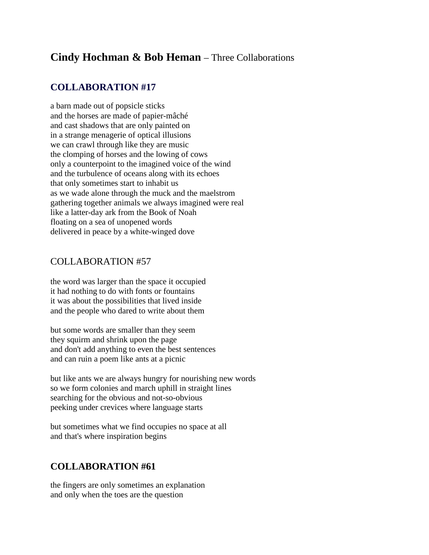## **Cindy Hochman & Bob Heman** – Three Collaborations

## **COLLABORATION #17**

a barn made out of popsicle sticks and the horses are made of papier-mâché and cast shadows that are only painted on in a strange menagerie of optical illusions we can crawl through like they are music the clomping of horses and the lowing of cows only a counterpoint to the imagined voice of the wind and the turbulence of oceans along with its echoes that only sometimes start to inhabit us as we wade alone through the muck and the maelstrom gathering together animals we always imagined were real like a latter-day ark from the Book of Noah floating on a sea of unopened words delivered in peace by a white-winged dove

## COLLABORATION #57

the word was larger than the space it occupied it had nothing to do with fonts or fountains it was about the possibilities that lived inside and the people who dared to write about them

but some words are smaller than they seem they squirm and shrink upon the page and don't add anything to even the best sentences and can ruin a poem like ants at a picnic

but like ants we are always hungry for nourishing new words so we form colonies and march uphill in straight lines searching for the obvious and not-so-obvious peeking under crevices where language starts

but sometimes what we find occupies no space at all and that's where inspiration begins

## **COLLABORATION #61**

the fingers are only sometimes an explanation and only when the toes are the question